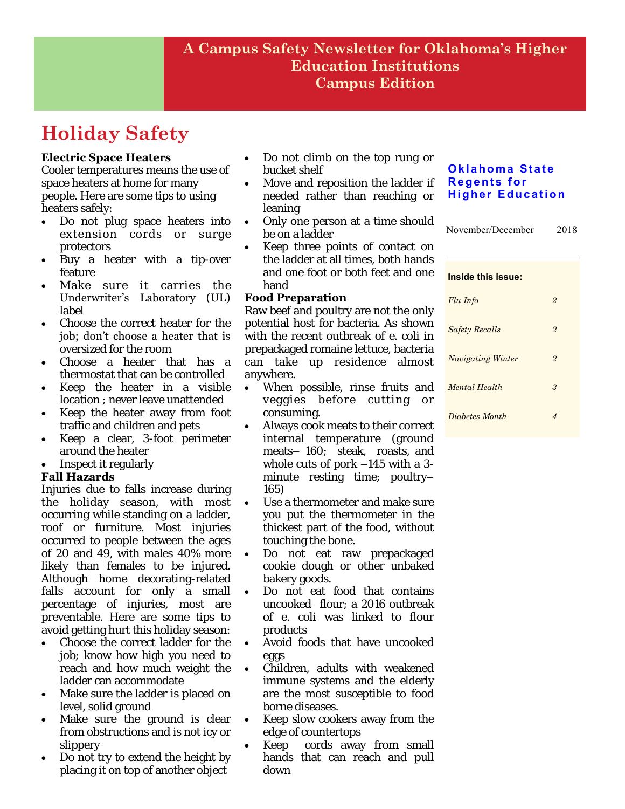# **Holiday Safety**

## **Electric Space Heaters**

Cooler temperatures means the use of space heaters at home for many people. Here are some tips to using heaters safely:

- Do not plug space heaters into extension cords or surge protectors
- Buy a heater with a tip-over feature
- Make sure it carries the Underwriter's Laboratory (UL) label
- Choose the correct heater for the job; don't choose a heater that is oversized for the room
- Choose a heater that has a thermostat that can be controlled
- Keep the heater in a visible location ; never leave unattended
- Keep the heater away from foot traffic and children and pets
- Keep a clear, 3-foot perimeter around the heater
- Inspect it regularly

## **Fall Hazards**

Injuries due to falls increase during the holiday season, with most occurring while standing on a ladder, roof or furniture. Most injuries occurred to people between the ages of 20 and 49, with males 40% more likely than females to be injured. Although home decorating-related falls account for only a small percentage of injuries, most are preventable. Here are some tips to avoid getting hurt this holiday season:

- Choose the correct ladder for the job; know how high you need to reach and how much weight the ladder can accommodate
- Make sure the ladder is placed on level, solid ground
- Make sure the ground is clear from obstructions and is not icy or slippery
- Do not try to extend the height by placing it on top of another object
- Do not climb on the top rung or bucket shelf
- Move and reposition the ladder if needed rather than reaching or leaning
- Only one person at a time should be on a ladder
- Keep three points of contact on the ladder at all times, both hands and one foot or both feet and one hand

## **Food Preparation**

Raw beef and poultry are not the only potential host for bacteria. As shown with the recent outbreak of e. coli in prepackaged romaine lettuce, bacteria can take up residence almost anywhere.

- When possible, rinse fruits and veggies before cutting or consuming.
- Always cook meats to their correct internal temperature (ground meats– 160; steak, roasts, and whole cuts of pork –145 with a 3 minute resting time; poultry– 165)
- Use a thermometer and make sure you put the thermometer in the thickest part of the food, without touching the bone.
- Do not eat raw prepackaged cookie dough or other unbaked bakery goods.
- Do not eat food that contains uncooked flour; a 2016 outbreak of e. coli was linked to flour products
- Avoid foods that have uncooked eggs
- Children, adults with weakened immune systems and the elderly are the most susceptible to food borne diseases.
- Keep slow cookers away from the edge of countertops
- Keep cords away from small hands that can reach and pull down

## **Oklahoma State Regents for Higher Education**

| November/December | 2018 |
|-------------------|------|
|                   |      |

| Inside this issue:       |                |
|--------------------------|----------------|
| Flu Info                 | $\overline{2}$ |
| <b>Safety Recalls</b>    | $\overline{2}$ |
| <b>Navigating Winter</b> | $\overline{2}$ |
| Mental Health            | $\mathcal{S}$  |
| Diabetes Month           | 4              |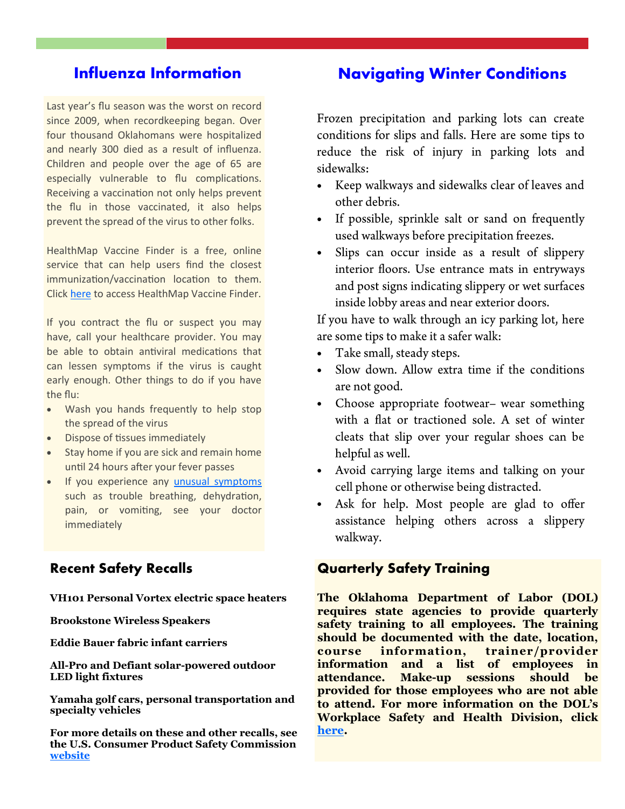# **Influenza Information**

Last year's flu season was the worst on record since 2009, when recordkeeping began. Over four thousand Oklahomans were hospitalized and nearly 300 died as a result of influenza. Children and people over the age of 65 are especially vulnerable to flu complications. Receiving a vaccination not only helps prevent the flu in those vaccinated, it also helps prevent the spread of the virus to other folks.

HealthMap Vaccine Finder is a free, online service that can help users find the closest immunization/vaccination location to them. Click [here t](https://vaccinefinder.org/)o access HealthMap Vaccine Finder.

If you contract the flu or suspect you may have, call your healthcare provider. You may be able to obtain antiviral medications that can lessen symptoms if the virus is caught early enough. Other things to do if you have the flu:

- Wash you hands frequently to help stop the spread of the virus
- Dispose of tissues immediately
- Stay home if you are sick and remain home until 24 hours after your fever passes
- If you experience any [unusual symptoms](https://www.cdc.gov/flu/takingcare.htm) such as trouble breathing, dehydration, pain, or vomiting, see your doctor immediately

## **Recent Safety Recalls**

**VH101 Personal Vortex electric space heaters** 

**Brookstone Wireless Speakers** 

**Eddie Bauer fabric infant carriers** 

**All-Pro and Defiant solar-powered outdoor LED light fixtures** 

**Yamaha golf cars, personal transportation and specialty vehicles** 

**For more details on these and other recalls, see the U.S. Consumer Product Safety Commission [website](https://www.cpsc.gov/recalls)**

## **Navigating Winter Conditions**

Frozen precipitation and parking lots can create conditions for slips and falls. Here are some tips to reduce the risk of injury in parking lots and sidewalks:

- Keep walkways and sidewalks clear of leaves and other debris.
- If possible, sprinkle salt or sand on frequently used walkways before precipitation freezes.
- Slips can occur inside as a result of slippery  $\bullet$ interior floors. Use entrance mats in entryways and post signs indicating slippery or wet surfaces inside lobby areas and near exterior doors.

If you have to walk through an icy parking lot, here are some tips to make it a safer walk:

- Take small, steady steps.  $\bullet$
- Slow down. Allow extra time if the conditions  $\bullet$ are not good.
- Choose appropriate footwear– wear something with a flat or tractioned sole. A set of winter cleats that slip over your regular shoes can be helpful as well.
- Avoid carrying large items and talking on your  $\bullet$ cell phone or otherwise being distracted.
- Ask for help. Most people are glad to offer  $\bullet$ assistance helping others across a slippery walkway.

## **Quarterly Safety Training**

**The Oklahoma Department of Labor (DOL) requires state agencies to provide quarterly safety training to all employees. The training should be documented with the date, location, course information, trainer/provider information and a list of employees in attendance. Make-up sessions should be provided for those employees who are not able to attend. For more information on the DOL's Workplace Safety and Health Division, click [here.](https://www.ok.gov/odol/Workplace_Safety_&_Health/index.html)**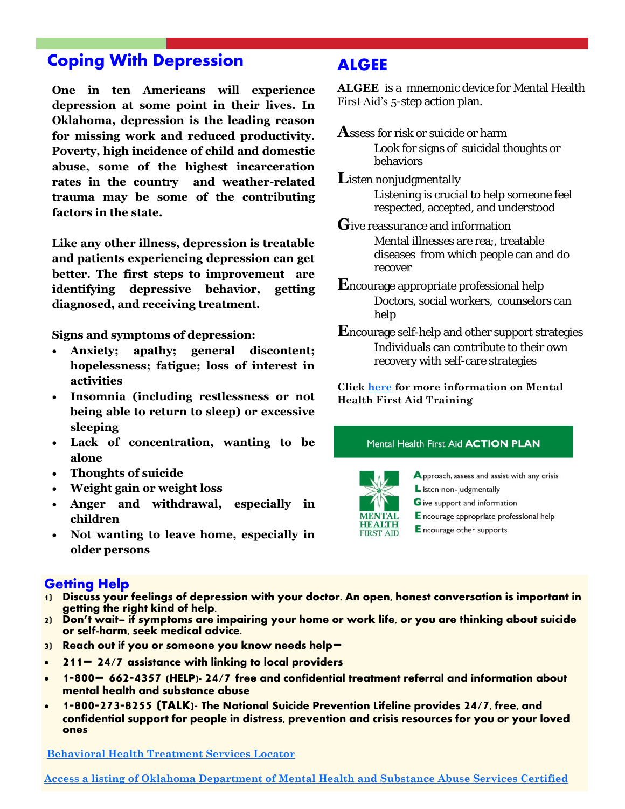# **Coping With Depression**

**One in ten Americans will experience depression at some point in their lives. In Oklahoma, depression is the leading reason for missing work and reduced productivity. Poverty, high incidence of child and domestic abuse, some of the highest incarceration rates in the country and weather-related trauma may be some of the contributing factors in the state.** 

**Like any other illness, depression is treatable and patients experiencing depression can get better. The first steps to improvement are identifying depressive behavior, getting diagnosed, and receiving treatment.** 

**Signs and symptoms of depression:** 

- **Anxiety; apathy; general discontent; hopelessness; fatigue; loss of interest in activities**
- **Insomnia (including restlessness or not being able to return to sleep) or excessive sleeping**
- **Lack of concentration, wanting to be alone**
- **Thoughts of suicide**
- **Weight gain or weight loss**
- **Anger and withdrawal, especially in children**
- **Not wanting to leave home, especially in older persons**

## **Getting Help**

- **1) Discuss your feelings of depression with your doctor. An open, honest conversation is important in getting the right kind of help.**
- **2) Don't wait– if symptoms are impairing your home or work life, or you are thinking about suicide or self-harm, seek medical advice.**
- **3) Reach out if you or someone you know needs help–**
- **211– 24/7 assistance with linking to local providers**
- **1-800– 662-4357 (HELP)- 24/7 free and confidential treatment referral and information about mental health and substance abuse**
- **1-800-273-8255 (TALK)- The National Suicide Prevention Lifeline provides 24/7, free, and confidential support for people in distress, prevention and crisis resources for you or your loved ones**

**[Behavioral Health Treatment Services Locator](https://findtreatment.samhsa.gov/)** 

**ALGEE** 

**ALGEE** is a mnemonic device for Mental Health First Aid's 5-step action plan.

- **A**ssess for risk or suicide or harm Look for signs of suicidal thoughts or behaviors
- **L**isten nonjudgmentally Listening is crucial to help someone feel respected, accepted, and understood
- **G**ive reassurance and information Mental illnesses are rea;, treatable diseases from which people can and do recover
- **E**ncourage appropriate professional help Doctors, social workers, counselors can help
- **E**ncourage self-help and other support strategies Individuals can contribute to their own recovery with self-care strategies

**Click [here f](https://www.mentalhealthfirstaid.org/)or more information on Mental Health First Aid Training** 

#### Mental Health First Aid **ACTION PLAN**



Approach, assess and assist with any crisis L isten non-judgmentally

- G ive support and information
- E ncourage appropriate professional help
- E ncourage other supports

**[Access a listing of Oklahoma Department of Mental Health and Substance Abuse Services Certified](https://www.google.com/maps/d/viewer?mid=137cjQ-Wot11ah4uYf2vIE7hjRGU&ll=35.62854113370643,-98.30299192656252&z=7)**